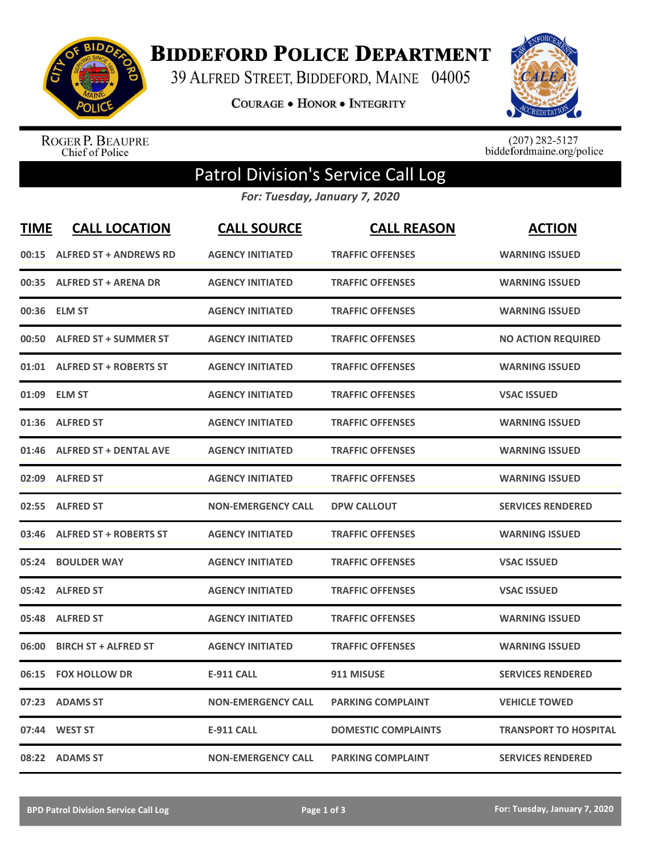

**BIDDEFORD POLICE DEPARTMENT** 

39 ALFRED STREET, BIDDEFORD, MAINE 04005

**COURAGE . HONOR . INTEGRITY** 



ROGER P. BEAUPRE<br>Chief of Police

 $(207)$  282-5127<br>biddefordmaine.org/police

## Patrol Division's Service Call Log

*For: Tuesday, January 7, 2020*

| <b>TIME</b> | <b>CALL LOCATION</b>          | <b>CALL SOURCE</b>        | <b>CALL REASON</b>         | <b>ACTION</b>                |
|-------------|-------------------------------|---------------------------|----------------------------|------------------------------|
|             | 00:15 ALFRED ST + ANDREWS RD  | <b>AGENCY INITIATED</b>   | <b>TRAFFIC OFFENSES</b>    | <b>WARNING ISSUED</b>        |
|             | 00:35 ALFRED ST + ARENA DR    | <b>AGENCY INITIATED</b>   | <b>TRAFFIC OFFENSES</b>    | <b>WARNING ISSUED</b>        |
|             | 00:36 ELM ST                  | <b>AGENCY INITIATED</b>   | <b>TRAFFIC OFFENSES</b>    | <b>WARNING ISSUED</b>        |
| 00:50       | <b>ALFRED ST + SUMMER ST</b>  | <b>AGENCY INITIATED</b>   | <b>TRAFFIC OFFENSES</b>    | <b>NO ACTION REQUIRED</b>    |
| 01:01       | <b>ALFRED ST + ROBERTS ST</b> | <b>AGENCY INITIATED</b>   | <b>TRAFFIC OFFENSES</b>    | <b>WARNING ISSUED</b>        |
| 01:09       | <b>ELM ST</b>                 | <b>AGENCY INITIATED</b>   | <b>TRAFFIC OFFENSES</b>    | <b>VSAC ISSUED</b>           |
| 01:36       | <b>ALFRED ST</b>              | <b>AGENCY INITIATED</b>   | <b>TRAFFIC OFFENSES</b>    | <b>WARNING ISSUED</b>        |
| 01:46       | <b>ALFRED ST + DENTAL AVE</b> | <b>AGENCY INITIATED</b>   | <b>TRAFFIC OFFENSES</b>    | <b>WARNING ISSUED</b>        |
| 02:09       | <b>ALFRED ST</b>              | <b>AGENCY INITIATED</b>   | <b>TRAFFIC OFFENSES</b>    | <b>WARNING ISSUED</b>        |
| 02:55       | <b>ALFRED ST</b>              | <b>NON-EMERGENCY CALL</b> | <b>DPW CALLOUT</b>         | <b>SERVICES RENDERED</b>     |
|             | 03:46 ALFRED ST + ROBERTS ST  | <b>AGENCY INITIATED</b>   | <b>TRAFFIC OFFENSES</b>    | <b>WARNING ISSUED</b>        |
| 05:24       | <b>BOULDER WAY</b>            | <b>AGENCY INITIATED</b>   | <b>TRAFFIC OFFENSES</b>    | <b>VSAC ISSUED</b>           |
|             | 05:42 ALFRED ST               | <b>AGENCY INITIATED</b>   | <b>TRAFFIC OFFENSES</b>    | <b>VSAC ISSUED</b>           |
| 05:48       | <b>ALFRED ST</b>              | <b>AGENCY INITIATED</b>   | <b>TRAFFIC OFFENSES</b>    | <b>WARNING ISSUED</b>        |
| 06:00       | <b>BIRCH ST + ALFRED ST</b>   | <b>AGENCY INITIATED</b>   | <b>TRAFFIC OFFENSES</b>    | <b>WARNING ISSUED</b>        |
| 06:15       | <b>FOX HOLLOW DR</b>          | <b>E-911 CALL</b>         | 911 MISUSE                 | <b>SERVICES RENDERED</b>     |
| 07:23       | <b>ADAMS ST</b>               | <b>NON-EMERGENCY CALL</b> | <b>PARKING COMPLAINT</b>   | <b>VEHICLE TOWED</b>         |
| 07:44       | <b>WEST ST</b>                | <b>E-911 CALL</b>         | <b>DOMESTIC COMPLAINTS</b> | <b>TRANSPORT TO HOSPITAL</b> |
|             | 08:22 ADAMS ST                | <b>NON-EMERGENCY CALL</b> | <b>PARKING COMPLAINT</b>   | <b>SERVICES RENDERED</b>     |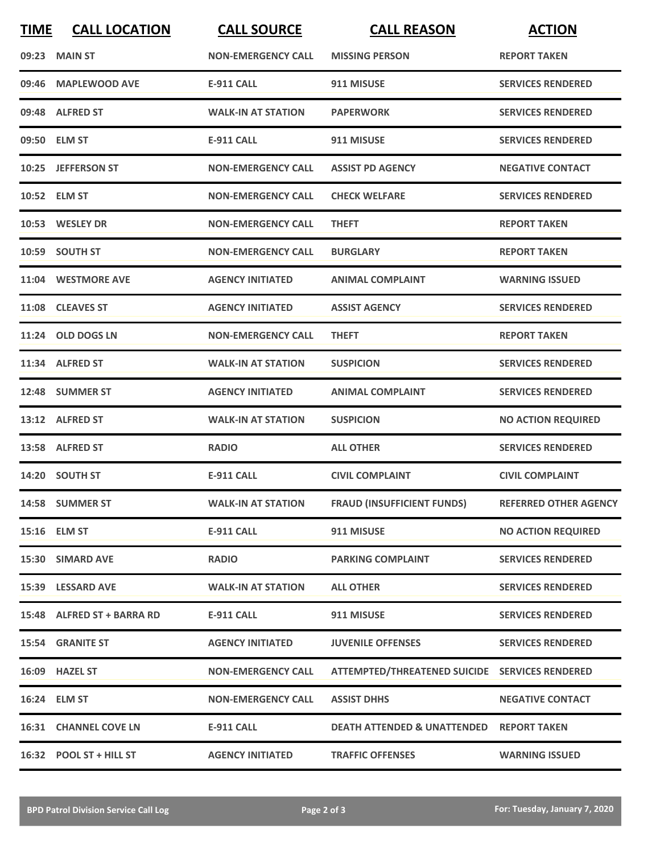| <b>TIME</b> | <b>CALL LOCATION</b>         | <b>CALL SOURCE</b>        | <b>CALL REASON</b>                             | <b>ACTION</b>                |
|-------------|------------------------------|---------------------------|------------------------------------------------|------------------------------|
|             | 09:23 MAIN ST                | <b>NON-EMERGENCY CALL</b> | <b>MISSING PERSON</b>                          | <b>REPORT TAKEN</b>          |
| 09:46       | <b>MAPLEWOOD AVE</b>         | <b>E-911 CALL</b>         | 911 MISUSE                                     | <b>SERVICES RENDERED</b>     |
|             | 09:48 ALFRED ST              | <b>WALK-IN AT STATION</b> | <b>PAPERWORK</b>                               | <b>SERVICES RENDERED</b>     |
|             | 09:50 ELM ST                 | <b>E-911 CALL</b>         | 911 MISUSE                                     | <b>SERVICES RENDERED</b>     |
|             | 10:25 JEFFERSON ST           | <b>NON-EMERGENCY CALL</b> | <b>ASSIST PD AGENCY</b>                        | <b>NEGATIVE CONTACT</b>      |
|             | 10:52 ELM ST                 | <b>NON-EMERGENCY CALL</b> | <b>CHECK WELFARE</b>                           | <b>SERVICES RENDERED</b>     |
|             | 10:53 WESLEY DR              | <b>NON-EMERGENCY CALL</b> | <b>THEFT</b>                                   | <b>REPORT TAKEN</b>          |
|             | 10:59 SOUTH ST               | <b>NON-EMERGENCY CALL</b> | <b>BURGLARY</b>                                | <b>REPORT TAKEN</b>          |
|             | 11:04 WESTMORE AVE           | <b>AGENCY INITIATED</b>   | <b>ANIMAL COMPLAINT</b>                        | <b>WARNING ISSUED</b>        |
|             | 11:08 CLEAVES ST             | <b>AGENCY INITIATED</b>   | <b>ASSIST AGENCY</b>                           | <b>SERVICES RENDERED</b>     |
|             | 11:24 OLD DOGS LN            | <b>NON-EMERGENCY CALL</b> | <b>THEFT</b>                                   | <b>REPORT TAKEN</b>          |
|             | 11:34 ALFRED ST              | <b>WALK-IN AT STATION</b> | <b>SUSPICION</b>                               | <b>SERVICES RENDERED</b>     |
|             | 12:48 SUMMER ST              | <b>AGENCY INITIATED</b>   | <b>ANIMAL COMPLAINT</b>                        | <b>SERVICES RENDERED</b>     |
|             | 13:12 ALFRED ST              | <b>WALK-IN AT STATION</b> | <b>SUSPICION</b>                               | <b>NO ACTION REQUIRED</b>    |
|             | 13:58 ALFRED ST              | <b>RADIO</b>              | <b>ALL OTHER</b>                               | <b>SERVICES RENDERED</b>     |
|             | 14:20 SOUTH ST               | E-911 CALL                | <b>CIVIL COMPLAINT</b>                         | <b>CIVIL COMPLAINT</b>       |
|             | 14:58 SUMMER ST              | <b>WALK-IN AT STATION</b> | <b>FRAUD (INSUFFICIENT FUNDS)</b>              | <b>REFERRED OTHER AGENCY</b> |
|             | 15:16 ELM ST                 | <b>E-911 CALL</b>         | 911 MISUSE                                     | <b>NO ACTION REQUIRED</b>    |
|             | 15:30 SIMARD AVE             | <b>RADIO</b>              | <b>PARKING COMPLAINT</b>                       | <b>SERVICES RENDERED</b>     |
|             | 15:39 LESSARD AVE            | <b>WALK-IN AT STATION</b> | <b>ALL OTHER</b>                               | <b>SERVICES RENDERED</b>     |
|             | 15:48 ALFRED ST + BARRA RD   | <b>E-911 CALL</b>         | 911 MISUSE                                     | <b>SERVICES RENDERED</b>     |
|             | 15:54 GRANITE ST             | <b>AGENCY INITIATED</b>   | <b>JUVENILE OFFENSES</b>                       | <b>SERVICES RENDERED</b>     |
|             | 16:09 HAZEL ST               | <b>NON-EMERGENCY CALL</b> | ATTEMPTED/THREATENED SUICIDE SERVICES RENDERED |                              |
|             | 16:24 ELM ST                 | <b>NON-EMERGENCY CALL</b> | <b>ASSIST DHHS</b>                             | <b>NEGATIVE CONTACT</b>      |
|             | <b>16:31 CHANNEL COVE LN</b> | E-911 CALL                | <b>DEATH ATTENDED &amp; UNATTENDED</b>         | <b>REPORT TAKEN</b>          |
|             | 16:32 POOL ST + HILL ST      | <b>AGENCY INITIATED</b>   | <b>TRAFFIC OFFENSES</b>                        | <b>WARNING ISSUED</b>        |